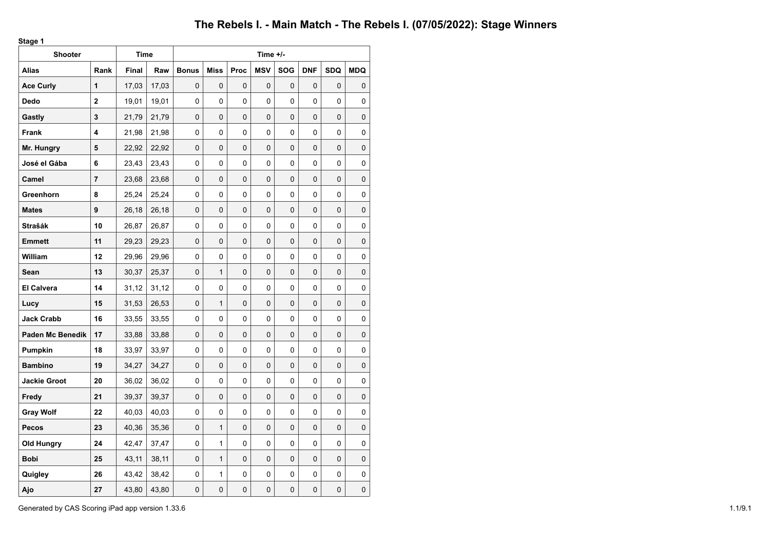**Stage 1**

| <b>Shooter</b>          |             | <b>Time</b> |       |              |              |      | Time +/-   |     |            |            |            |
|-------------------------|-------------|-------------|-------|--------------|--------------|------|------------|-----|------------|------------|------------|
| <b>Alias</b>            | Rank        | Final       | Raw   | <b>Bonus</b> | <b>Miss</b>  | Proc | <b>MSV</b> | SOG | <b>DNF</b> | <b>SDQ</b> | <b>MDQ</b> |
| <b>Ace Curly</b>        | 1           | 17,03       | 17,03 | 0            | 0            | 0    | 0          | 0   | 0          | 0          | 0          |
| Dedo                    | $\mathbf 2$ | 19,01       | 19,01 | 0            | 0            | 0    | 0          | 0   | 0          | 0          | 0          |
| Gastly                  | 3           | 21,79       | 21,79 | 0            | $\Omega$     | 0    | 0          | 0   | 0          | 0          | 0          |
| Frank                   | 4           | 21,98       | 21,98 | 0            | 0            | 0    | 0          | 0   | 0          | 0          | 0          |
| Mr. Hungry              | 5           | 22,92       | 22,92 | 0            | 0            | 0    | 0          | 0   | 0          | 0          | 0          |
| José el Gába            | 6           | 23,43       | 23,43 | 0            | 0            | 0    | 0          | 0   | 0          | 0          | 0          |
| Camel                   | 7           | 23,68       | 23,68 | 0            | 0            | 0    | 0          | 0   | 0          | 0          | 0          |
| Greenhorn               | 8           | 25,24       | 25,24 | 0            | 0            | 0    | 0          | 0   | 0          | 0          | 0          |
| <b>Mates</b>            | 9           | 26,18       | 26,18 | 0            | 0            | 0    | 0          | 0   | 0          | 0          | 0          |
| Strašák                 | 10          | 26,87       | 26,87 | 0            | $\mathbf{0}$ | 0    | $\Omega$   | 0   | $\Omega$   | 0          | 0          |
| <b>Emmett</b>           | 11          | 29,23       | 29,23 | 0            | 0            | 0    | 0          | 0   | 0          | 0          | 0          |
| William                 | 12          | 29,96       | 29,96 | 0            | 0            | 0    | 0          | 0   | 0          | 0          | 0          |
| Sean                    | 13          | 30,37       | 25,37 | 0            | $\mathbf{1}$ | 0    | 0          | 0   | 0          | 0          | 0          |
| <b>El Calvera</b>       | 14          | 31,12       | 31,12 | 0            | 0            | 0    | 0          | 0   | 0          | 0          | 0          |
| Lucy                    | 15          | 31,53       | 26,53 | 0            | $\mathbf{1}$ | 0    | 0          | 0   | 0          | 0          | 0          |
| <b>Jack Crabb</b>       | 16          | 33,55       | 33,55 | 0            | 0            | 0    | 0          | 0   | 0          | 0          | 0          |
| <b>Paden Mc Benedik</b> | 17          | 33,88       | 33,88 | 0            | $\mathbf 0$  | 0    | 0          | 0   | 0          | 0          | 0          |
| Pumpkin                 | 18          | 33,97       | 33,97 | 0            | 0            | 0    | 0          | 0   | 0          | 0          | 0          |
| <b>Bambino</b>          | 19          | 34,27       | 34,27 | 0            | 0            | 0    | 0          | 0   | 0          | 0          | 0          |
| <b>Jackie Groot</b>     | 20          | 36,02       | 36,02 | 0            | 0            | 0    | $\Omega$   | 0   | $\Omega$   | 0          | 0          |
| Fredy                   | 21          | 39,37       | 39,37 | 0            | 0            | 0    | 0          | 0   | 0          | 0          | 0          |
| <b>Gray Wolf</b>        | 22          | 40,03       | 40,03 | 0            | 0            | 0    | 0          | 0   | 0          | 0          | 0          |
| <b>Pecos</b>            | 23          | 40,36       | 35,36 | 0            | 1            | 0    | 0          | 0   | 0          | 0          | 0          |
| Old Hungry              | 24          | 42,47       | 37,47 | 0            | 1            | 0    | 0          | 0   | 0          | 0          | 0          |
| <b>Bobi</b>             | 25          | 43,11       | 38,11 | 0            | 1            | 0    | 0          | 0   | 0          | 0          | 0          |
| Quigley                 | 26          | 43,42       | 38,42 | 0            | 1            | 0    | 0          | 0   | 0          | 0          | 0          |
| Ajo                     | 27          | 43,80       | 43,80 | 0            | 0            | 0    | 0          | 0   | 0          | 0          | 0          |

Generated by CAS Scoring iPad app version 1.33.6 1.1/9.1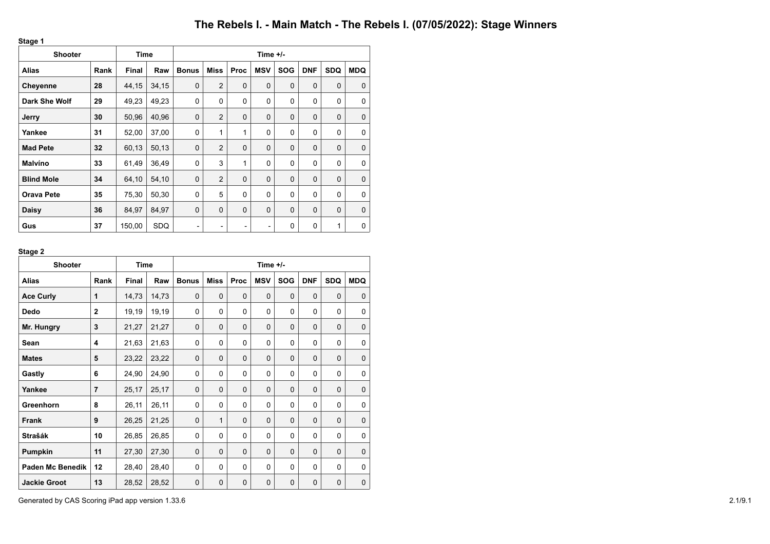**Stage 1**

| <b>Shooter</b>       |      | <b>Time</b>  |       | Time +/-     |                |      |            |             |             |             |             |  |
|----------------------|------|--------------|-------|--------------|----------------|------|------------|-------------|-------------|-------------|-------------|--|
| <b>Alias</b>         | Rank | <b>Final</b> | Raw   | <b>Bonus</b> | Miss           | Proc | <b>MSV</b> | <b>SOG</b>  | <b>DNF</b>  | <b>SDQ</b>  | <b>MDQ</b>  |  |
| <b>Cheyenne</b>      | 28   | 44,15        | 34,15 | $\mathbf 0$  | $\overline{2}$ | 0    | 0          | $\mathbf 0$ | $\mathbf 0$ | $\mathbf 0$ | $\Omega$    |  |
| <b>Dark She Wolf</b> | 29   | 49,23        | 49,23 | 0            | 0              | 0    | 0          | 0           | 0           | 0           | 0           |  |
| Jerry                | 30   | 50,96        | 40,96 | $\mathbf 0$  | $\overline{2}$ | 0    | 0          | $\mathbf 0$ | $\Omega$    | $\mathbf 0$ | $\mathbf 0$ |  |
| Yankee               | 31   | 52,00        | 37,00 | 0            | 1              | 1    | 0          | 0           | $\Omega$    | 0           | $\mathbf 0$ |  |
| <b>Mad Pete</b>      | 32   | 60,13        | 50,13 | $\mathbf 0$  | 2              | 0    | 0          | $\mathbf 0$ | $\mathbf 0$ | 0           | $\mathbf 0$ |  |
| <b>Malvíno</b>       | 33   | 61,49        | 36,49 | 0            | 3              | 1    | 0          | 0           | $\Omega$    | 0           | $\Omega$    |  |
| <b>Blind Mole</b>    | 34   | 64,10        | 54,10 | $\mathbf 0$  | 2              | 0    | $\Omega$   | $\Omega$    | $\Omega$    | $\mathbf 0$ | $\Omega$    |  |
| <b>Orava Pete</b>    | 35   | 75,30        | 50,30 | 0            | 5              | 0    | 0          | 0           | $\Omega$    | 0           | $\Omega$    |  |
| Daisy                | 36   | 84,97        | 84,97 | $\mathbf 0$  | $\Omega$       | 0    | 0          | $\mathbf 0$ | $\Omega$    | 0           | $\mathbf 0$ |  |
| Gus                  | 37   | 150,00       | SDQ   | -            | -              | -    | -          | 0           | $\mathbf 0$ | 1           | $\mathbf 0$ |  |

### **Stage 2**

| <b>Shooter</b>          |                | <b>Time</b>  |       | Time $+/-$   |             |             |            |             |            |             |            |  |
|-------------------------|----------------|--------------|-------|--------------|-------------|-------------|------------|-------------|------------|-------------|------------|--|
| <b>Alias</b>            | Rank           | <b>Final</b> | Raw   | <b>Bonus</b> | <b>Miss</b> | Proc        | <b>MSV</b> | <b>SOG</b>  | <b>DNF</b> | <b>SDQ</b>  | <b>MDQ</b> |  |
| <b>Ace Curly</b>        | 1              | 14,73        | 14,73 | $\Omega$     | $\Omega$    | $\mathbf 0$ | $\Omega$   | $\Omega$    | $\Omega$   | $\Omega$    | 0          |  |
| <b>Dedo</b>             | $\mathbf{2}$   | 19,19        | 19,19 | $\Omega$     | $\Omega$    | $\Omega$    | $\Omega$   | $\Omega$    | $\Omega$   | $\Omega$    | 0          |  |
| Mr. Hungry              | 3              | 21,27        | 21,27 | $\Omega$     | $\Omega$    | $\Omega$    | $\Omega$   | $\Omega$    | $\Omega$   | $\Omega$    | 0          |  |
| Sean                    | 4              | 21,63        | 21,63 | $\Omega$     | $\Omega$    | 0           | 0          | 0           | $\Omega$   | 0           | 0          |  |
| <b>Mates</b>            | 5              | 23,22        | 23,22 | $\Omega$     | $\Omega$    | $\Omega$    | $\Omega$   | $\Omega$    | $\Omega$   | $\Omega$    | 0          |  |
| Gastly                  | 6              | 24,90        | 24,90 | 0            | $\Omega$    | 0           | 0          | $\Omega$    | $\Omega$   | $\Omega$    | 0          |  |
| Yankee                  | $\overline{7}$ | 25,17        | 25,17 | $\Omega$     | $\Omega$    | $\Omega$    | $\Omega$   | $\Omega$    | $\Omega$   | $\Omega$    | 0          |  |
| Greenhorn               | 8              | 26,11        | 26,11 | 0            | $\Omega$    | 0           | 0          | 0           | $\Omega$   | 0           | 0          |  |
| Frank                   | 9              | 26,25        | 21,25 | $\Omega$     | 1           | $\mathbf 0$ | $\Omega$   | $\mathbf 0$ | $\Omega$   | $\mathbf 0$ | 0          |  |
| <b>Strašák</b>          | 10             | 26,85        | 26,85 | $\Omega$     | $\Omega$    | 0           | $\Omega$   | 0           | $\Omega$   | 0           | 0          |  |
| Pumpkin                 | 11             | 27,30        | 27,30 | $\mathbf 0$  | $\Omega$    | $\mathbf 0$ | 0          | $\mathbf 0$ | $\Omega$   | $\mathbf 0$ | 0          |  |
| <b>Paden Mc Benedik</b> | 12             | 28,40        | 28,40 | $\Omega$     | $\Omega$    | $\Omega$    | 0          | 0           | $\Omega$   | 0           | 0          |  |
| <b>Jackie Groot</b>     | 13             | 28,52        | 28,52 | $\Omega$     | $\Omega$    | $\mathbf 0$ | $\Omega$   | $\mathbf 0$ | $\Omega$   | $\mathbf 0$ | 0          |  |

Generated by CAS Scoring iPad app version 1.33.6 2.1/9.1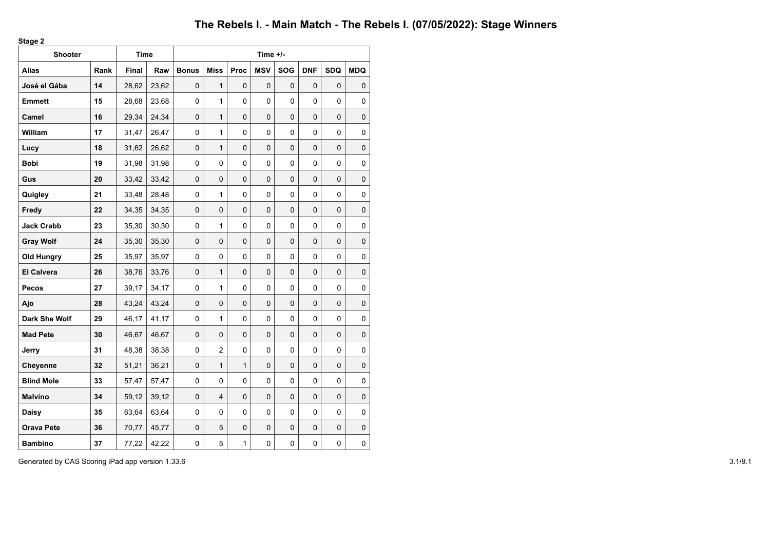**Stage 2**

| <b>Shooter</b>    |      | <b>Time</b>  |       |              |                |              | Time +/-   |            |            |             |             |
|-------------------|------|--------------|-------|--------------|----------------|--------------|------------|------------|------------|-------------|-------------|
| <b>Alias</b>      | Rank | <b>Final</b> | Raw   | <b>Bonus</b> | <b>Miss</b>    | Proc         | <b>MSV</b> | <b>SOG</b> | <b>DNF</b> | <b>SDQ</b>  | <b>MDQ</b>  |
| José el Gába      | 14   | 28,62        | 23,62 | 0            | $\mathbf{1}$   | 0            | 0          | 0          | 0          | 0           | 0           |
| <b>Emmett</b>     | 15   | 28,68        | 23,68 | 0            | 1              | 0            | $\Omega$   | 0          | 0          | 0           | 0           |
| Camel             | 16   | 29,34        | 24,34 | 0            | $\mathbf{1}$   | $\pmb{0}$    | 0          | 0          | 0          | 0           | $\pmb{0}$   |
| William           | 17   | 31,47        | 26,47 | 0            | 1              | 0            | 0          | 0          | 0          | 0           | 0           |
| Lucy              | 18   | 31,62        | 26,62 | 0            | $\mathbf{1}$   | 0            | 0          | 0          | 0          | 0           | $\pmb{0}$   |
| <b>Bobi</b>       | 19   | 31,98        | 31,98 | 0            | 0              | 0            | $\Omega$   | 0          | $\Omega$   | 0           | $\pmb{0}$   |
| Gus               | 20   | 33,42        | 33,42 | $\mathsf 0$  | 0              | 0            | 0          | 0          | 0          | 0           | $\mathsf 0$ |
| Quigley           | 21   | 33,48        | 28,48 | 0            | 1              | 0            | 0          | 0          | $\Omega$   | 0           | $\pmb{0}$   |
| Fredy             | 22   | 34,35        | 34,35 | 0            | $\mathbf 0$    | $\pmb{0}$    | 0          | 0          | 0          | 0           | $\pmb{0}$   |
| <b>Jack Crabb</b> | 23   | 35,30        | 30,30 | 0            | 1              | 0            | 0          | 0          | 0          | 0           | $\pmb{0}$   |
| <b>Gray Wolf</b>  | 24   | 35,30        | 35,30 | $\pmb{0}$    | $\mathbf 0$    | 0            | 0          | 0          | 0          | 0           | $\mathsf 0$ |
| <b>Old Hungry</b> | 25   | 35,97        | 35,97 | 0            | 0              | 0            | 0          | 0          | 0          | 0           | 0           |
| <b>El Calvera</b> | 26   | 38,76        | 33,76 | $\pmb{0}$    | $\mathbf{1}$   | 0            | 0          | 0          | 0          | 0           | $\pmb{0}$   |
| Pecos             | 27   | 39,17        | 34,17 | 0            | 1              | 0            | 0          | 0          | 0          | 0           | 0           |
| Ajo               | 28   | 43,24        | 43,24 | $\mathbf 0$  | 0              | $\mathbf 0$  | 0          | $\Omega$   | $\Omega$   | 0           | $\pmb{0}$   |
| Dark She Wolf     | 29   | 46,17        | 41,17 | 0            | 1              | 0            | 0          | 0          | 0          | 0           | 0           |
| <b>Mad Pete</b>   | 30   | 46,67        | 46,67 | $\mathbf 0$  | 0              | 0            | 0          | 0          | $\Omega$   | 0           | $\mathbf 0$ |
| Jerry             | 31   | 48,38        | 38,38 | 0            | $\overline{c}$ | 0            | 0          | 0          | 0          | 0           | $\pmb{0}$   |
| Cheyenne          | 32   | 51,21        | 36,21 | 0            | $\mathbf{1}$   | $\mathbf{1}$ | 0          | 0          | $\Omega$   | 0           | $\pmb{0}$   |
| <b>Blind Mole</b> | 33   | 57,47        | 57,47 | 0            | 0              | 0            | 0          | 0          | 0          | 0           | 0           |
| <b>Malvíno</b>    | 34   | 59,12        | 39,12 | $\mathbf 0$  | 4              | 0            | 0          | 0          | 0          | 0           | $\pmb{0}$   |
| Daisy             | 35   | 63,64        | 63,64 | 0            | 0              | 0            | 0          | 0          | 0          | 0           | $\pmb{0}$   |
| <b>Orava Pete</b> | 36   | 70,77        | 45,77 | $\mathbf 0$  | 5              | 0            | 0          | 0          | 0          | 0           | $\pmb{0}$   |
| <b>Bambino</b>    | 37   | 77,22        | 42,22 | $\mathsf 0$  | 5              | 1            | 0          | 0          | 0          | $\mathbf 0$ | $\mathsf 0$ |

Generated by CAS Scoring iPad app version 1.33.6 3.1/9.1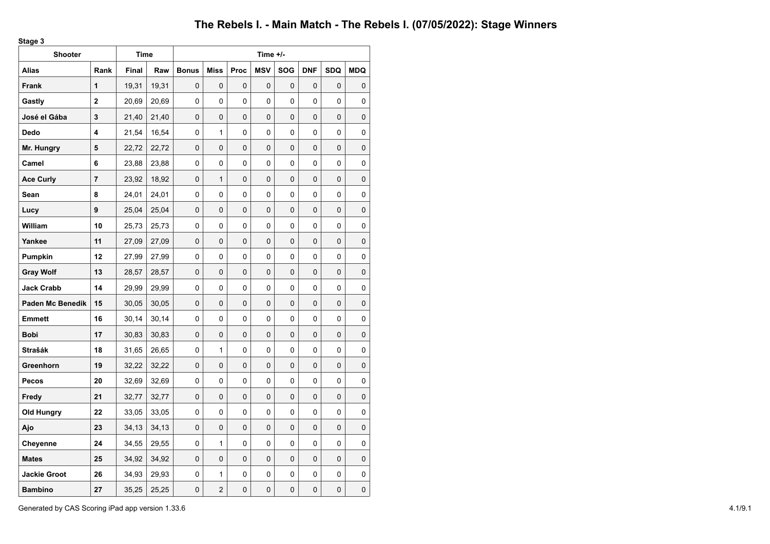**Stage 3**

| <b>Shooter</b>          |      | Time         |       |              |                |             | Time +/-   |             |            |            |                     |
|-------------------------|------|--------------|-------|--------------|----------------|-------------|------------|-------------|------------|------------|---------------------|
| Alias                   | Rank | <b>Final</b> | Raw   | <b>Bonus</b> | <b>Miss</b>    | <b>Proc</b> | <b>MSV</b> | <b>SOG</b>  | <b>DNF</b> | <b>SDQ</b> | <b>MDQ</b>          |
| <b>Frank</b>            | 1    | 19,31        | 19,31 | 0            | 0              | 0           | 0          | $\Omega$    | 0          | $\Omega$   | 0                   |
| Gastly                  | 2    | 20,69        | 20,69 | 0            | 0              | 0           | 0          | 0           | 0          | 0          | 0                   |
| José el Gába            | 3    | 21,40        | 21,40 | 0            | 0              | 0           | 0          | $\mathbf 0$ | 0          | 0          | 0                   |
| Dedo                    | 4    | 21,54        | 16,54 | 0            | 1              | 0           | 0          | 0           | 0          | 0          | 0                   |
| Mr. Hungry              | 5    | 22,72        | 22,72 | 0            | 0              | 0           | 0          | $\mathbf 0$ | 0          | 0          | 0                   |
| Camel                   | 6    | 23,88        | 23,88 | 0            | 0              | 0           | 0          | 0           | $\Omega$   | 0          | 0                   |
| <b>Ace Curly</b>        | 7    | 23,92        | 18,92 | 0            | $\mathbf{1}$   | 0           | 0          | 0           | 0          | 0          | 0                   |
| Sean                    | 8    | 24,01        | 24,01 | 0            | 0              | 0           | 0          | 0           | 0          | 0          | 0                   |
| Lucy                    | 9    | 25,04        | 25,04 | 0            | 0              | 0           | 0          | $\mathbf 0$ | 0          | 0          | 0                   |
| William                 | 10   | 25,73        | 25,73 | 0            | 0              | 0           | 0          | 0           | 0          | 0          | 0                   |
| Yankee                  | 11   | 27,09        | 27,09 | 0            | 0              | 0           | 0          | $\mathbf 0$ | 0          | 0          | 0                   |
| Pumpkin                 | 12   | 27,99        | 27,99 | 0            | 0              | 0           | 0          | $\Omega$    | 0          | 0          | 0                   |
| <b>Gray Wolf</b>        | 13   | 28,57        | 28,57 | 0            | 0              | 0           | 0          | $\mathbf 0$ | 0          | 0          | 0                   |
| <b>Jack Crabb</b>       | 14   | 29,99        | 29,99 | 0            | 0              | 0           | 0          | 0           | 0          | 0          | 0                   |
| <b>Paden Mc Benedik</b> | 15   | 30,05        | 30,05 | 0            | 0              | 0           | 0          | $\mathbf 0$ | 0          | 0          | 0                   |
| Emmett                  | 16   | 30,14        | 30,14 | 0            | 0              | 0           | 0          | 0           | 0          | 0          | 0                   |
| Bobi                    | 17   | 30,83        | 30,83 | 0            | 0              | 0           | 0          | $\mathbf 0$ | 0          | 0          | 0                   |
| Strašák                 | 18   | 31,65        | 26,65 | 0            | 1              | 0           | 0          | 0           | 0          | 0          | 0                   |
| Greenhorn               | 19   | 32,22        | 32,22 | 0            | 0              | 0           | 0          | $\mathbf 0$ | 0          | 0          | 0                   |
| Pecos                   | 20   | 32,69        | 32,69 | 0            | 0              | 0           | 0          | 0           | 0          | 0          | 0                   |
| Fredy                   | 21   | 32,77        | 32,77 | 0            | 0              | 0           | 0          | $\mathbf 0$ | 0          | 0          | 0                   |
| <b>Old Hungry</b>       | 22   | 33,05        | 33,05 | 0            | 0              | 0           | 0          | $\Omega$    | 0          | 0          | 0                   |
| Ajo                     | 23   | 34,13        | 34,13 | 0            | 0              | 0           | 0          | 0           | 0          | 0          | 0                   |
| Cheyenne                | 24   | 34,55        | 29,55 | 0            | $\mathbf{1}$   | 0           | 0          | 0           | 0          | 0          | 0                   |
| <b>Mates</b>            | 25   | 34,92        | 34,92 | 0            | 0              | 0           | 0          | $\mathbf 0$ | 0          | 0          | 0                   |
| <b>Jackie Groot</b>     | 26   | 34,93        | 29,93 | 0            | $\mathbf{1}$   | 0           | 0          | 0           | 0          | 0          | 0                   |
| <b>Bambino</b>          | 27   | 35,25        | 25,25 | 0            | $\overline{2}$ | 0           | 0          | $\mathbf 0$ | 0          | 0          | $\mathsf{O}\xspace$ |

Generated by CAS Scoring iPad app version 1.33.6 4.1/9.1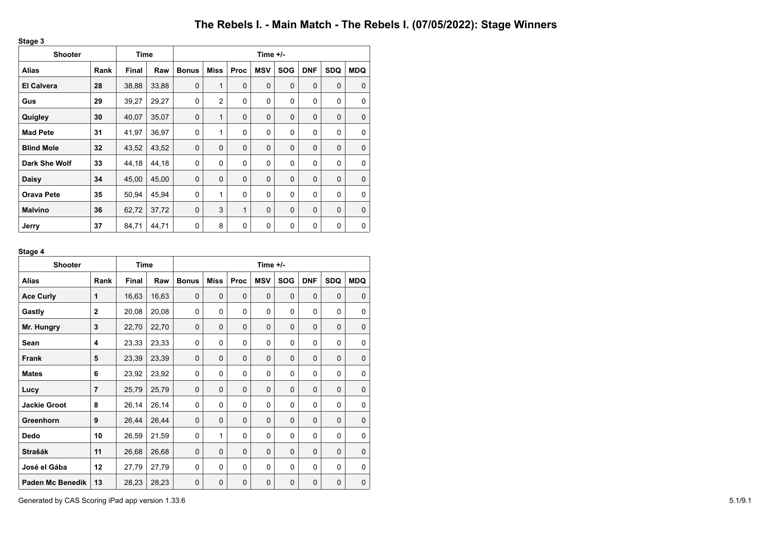**Stage 3**

| <b>Shooter</b>    |      | Time         |       | Time $+/-$   |              |      |            |             |             |             |             |  |
|-------------------|------|--------------|-------|--------------|--------------|------|------------|-------------|-------------|-------------|-------------|--|
| <b>Alias</b>      | Rank | <b>Final</b> | Raw   | <b>Bonus</b> | Miss         | Proc | <b>MSV</b> | <b>SOG</b>  | <b>DNF</b>  | <b>SDQ</b>  | <b>MDQ</b>  |  |
| <b>El Calvera</b> | 28   | 38,88        | 33,88 | $\mathbf 0$  | 1            | 0    | 0          | $\mathbf 0$ | $\mathbf 0$ | $\mathbf 0$ | $\Omega$    |  |
| Gus               | 29   | 39,27        | 29,27 | 0            | 2            | 0    | 0          | 0           | $\Omega$    | 0           | $\Omega$    |  |
| Quigley           | 30   | 40,07        | 35,07 | $\mathbf 0$  | $\mathbf{1}$ | 0    | $\Omega$   | $\mathbf 0$ | $\Omega$    | 0           | $\Omega$    |  |
| <b>Mad Pete</b>   | 31   | 41,97        | 36,97 | 0            | $\mathbf{1}$ | 0    | 0          | 0           | $\Omega$    | 0           | $\Omega$    |  |
| <b>Blind Mole</b> | 32   | 43,52        | 43,52 | $\mathbf 0$  | $\mathbf 0$  | 0    | 0          | $\mathbf 0$ | $\mathbf 0$ | 0           | $\mathbf 0$ |  |
| Dark She Wolf     | 33   | 44,18        | 44,18 | 0            | 0            | 0    | 0          | 0           | 0           | $\mathbf 0$ | $\Omega$    |  |
| <b>Daisy</b>      | 34   | 45,00        | 45,00 | $\mathbf 0$  | $\mathbf 0$  | 0    | 0          | $\mathbf 0$ | $\mathbf 0$ | $\mathbf 0$ | $\mathbf 0$ |  |
| <b>Orava Pete</b> | 35   | 50,94        | 45,94 | 0            | 1            | 0    | 0          | 0           | $\Omega$    | 0           | $\mathbf 0$ |  |
| <b>Malvíno</b>    | 36   | 62,72        | 37,72 | $\mathbf 0$  | 3            | 1    | 0          | $\mathbf 0$ | $\Omega$    | $\mathbf 0$ | $\mathbf 0$ |  |
| Jerry             | 37   | 84,71        | 44,71 | 0            | 8            | 0    | 0          | 0           | 0           | 0           | $\mathbf 0$ |  |

## **Stage 4**

| <b>Shooter</b>          |                | <b>Time</b> |       | Time $+/-$   |             |             |             |             |            |             |            |  |
|-------------------------|----------------|-------------|-------|--------------|-------------|-------------|-------------|-------------|------------|-------------|------------|--|
| <b>Alias</b>            | Rank           | Final       | Raw   | <b>Bonus</b> | <b>Miss</b> | Proc        | <b>MSV</b>  | <b>SOG</b>  | <b>DNF</b> | <b>SDQ</b>  | <b>MDQ</b> |  |
| <b>Ace Curly</b>        | 1              | 16,63       | 16,63 | $\mathbf 0$  | $\Omega$    | $\mathbf 0$ | $\mathbf 0$ | $\mathbf 0$ | $\Omega$   | $\mathbf 0$ | $\Omega$   |  |
| Gastly                  | $\overline{2}$ | 20,08       | 20,08 | 0            | $\Omega$    | 0           | 0           | 0           | $\Omega$   | 0           | $\Omega$   |  |
| Mr. Hungry              | 3              | 22,70       | 22,70 | $\mathbf 0$  | $\Omega$    | $\mathbf 0$ | $\Omega$    | $\mathbf 0$ | $\Omega$   | $\mathbf 0$ | 0          |  |
| Sean                    | 4              | 23,33       | 23,33 | $\Omega$     | $\Omega$    | $\Omega$    | $\Omega$    | $\Omega$    | $\Omega$   | $\Omega$    | $\Omega$   |  |
| Frank                   | 5              | 23,39       | 23,39 | $\mathbf 0$  | $\Omega$    | $\mathbf 0$ | $\Omega$    | $\mathbf 0$ | $\Omega$   | $\Omega$    | 0          |  |
| <b>Mates</b>            | 6              | 23,92       | 23,92 | $\Omega$     | $\Omega$    | 0           | $\Omega$    | 0           | $\Omega$   | $\Omega$    | 0          |  |
| Lucy                    | $\overline{7}$ | 25,79       | 25,79 | $\mathbf 0$  | $\Omega$    | $\Omega$    | $\Omega$    | $\mathbf 0$ | $\Omega$   | $\Omega$    | 0          |  |
| <b>Jackie Groot</b>     | 8              | 26,14       | 26,14 | 0            | 0           | 0           | $\mathbf 0$ | 0           | $\Omega$   | 0           | 0          |  |
| Greenhorn               | 9              | 26,44       | 26,44 | $\mathbf 0$  | $\Omega$    | $\mathbf 0$ | $\Omega$    | $\mathbf 0$ | $\Omega$   | $\mathbf 0$ | 0          |  |
| Dedo                    | 10             | 26,59       | 21,59 | 0            | 1           | 0           | $\Omega$    | 0           | $\Omega$   | 0           | 0          |  |
| <b>Strašák</b>          | 11             | 26,68       | 26,68 | $\mathbf 0$  | $\Omega$    | $\mathbf 0$ | $\Omega$    | $\mathbf 0$ | $\Omega$   | $\mathbf 0$ | 0          |  |
| José el Gába            | 12             | 27,79       | 27,79 | $\mathbf 0$  | $\Omega$    | 0           | 0           | 0           | $\Omega$   | 0           | 0          |  |
| <b>Paden Mc Benedik</b> | 13             | 28,23       | 28,23 | $\mathbf 0$  | $\mathbf 0$ | $\mathbf 0$ | $\mathbf 0$ | $\mathbf 0$ | $\Omega$   | 0           | 0          |  |

Generated by CAS Scoring iPad app version 1.33.6 5.1/9.1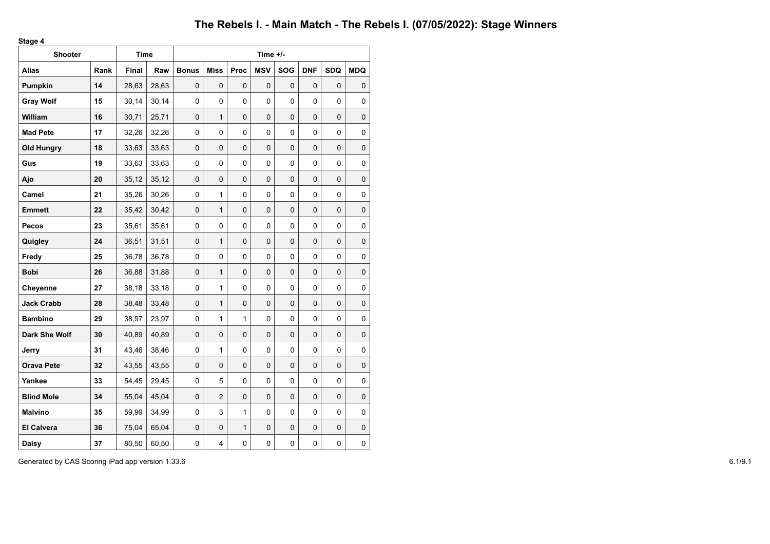**Stage 4**

| <b>Shooter</b>    |      | <b>Time</b> |       |              |                |              | Time +/-     |            |             |             |             |
|-------------------|------|-------------|-------|--------------|----------------|--------------|--------------|------------|-------------|-------------|-------------|
| <b>Alias</b>      | Rank | Final       | Raw   | <b>Bonus</b> | <b>Miss</b>    | Proc         | <b>MSV</b>   | <b>SOG</b> | <b>DNF</b>  | <b>SDQ</b>  | <b>MDQ</b>  |
| Pumpkin           | 14   | 28,63       | 28,63 | $\mathbf 0$  | 0              | 0            | $\mathbf{0}$ | $\Omega$   | $\Omega$    | 0           | 0           |
| <b>Gray Wolf</b>  | 15   | 30,14       | 30,14 | 0            | 0              | 0            | 0            | 0          | 0           | 0           | 0           |
| William           | 16   | 30,71       | 25,71 | $\pmb{0}$    | $\mathbf{1}$   | $\pmb{0}$    | 0            | 0          | 0           | $\mathsf 0$ | $\mathsf 0$ |
| <b>Mad Pete</b>   | 17   | 32,26       | 32,26 | 0            | 0              | 0            | 0            | 0          | 0           | 0           | 0           |
| <b>Old Hungry</b> | 18   | 33,63       | 33,63 | $\pmb{0}$    | 0              | 0            | 0            | 0          | $\mathbf 0$ | 0           | $\pmb{0}$   |
| Gus               | 19   | 33,63       | 33,63 | 0            | 0              | 0            | 0            | 0          | $\Omega$    | 0           | $\pmb{0}$   |
| Ajo               | 20   | 35, 12      | 35,12 | $\mathbf 0$  | $\mathbf 0$    | $\mathbf 0$  | 0            | 0          | 0           | $\mathbf 0$ | $\pmb{0}$   |
| Camel             | 21   | 35,26       | 30,26 | 0            | 1              | 0            | 0            | 0          | 0           | 0           | $\pmb{0}$   |
| <b>Emmett</b>     | 22   | 35,42       | 30,42 | 0            | $\mathbf{1}$   | $\pmb{0}$    | 0            | 0          | 0           | 0           | $\mathbf 0$ |
| Pecos             | 23   | 35,61       | 35,61 | 0            | 0              | 0            | 0            | 0          | 0           | 0           | $\pmb{0}$   |
| Quigley           | 24   | 36,51       | 31,51 | 0            | $\mathbf{1}$   | 0            | 0            | 0          | 0           | 0           | $\pmb{0}$   |
| Fredy             | 25   | 36,78       | 36,78 | 0            | 0              | 0            | 0            | 0          | 0           | 0           | 0           |
| <b>Bobi</b>       | 26   | 36,88       | 31,88 | $\mathbf 0$  | $\mathbf{1}$   | 0            | 0            | 0          | $\mathbf 0$ | 0           | $\pmb{0}$   |
| Cheyenne          | 27   | 38,18       | 33,18 | 0            | 1              | 0            | 0            | 0          | 0           | 0           | 0           |
| <b>Jack Crabb</b> | 28   | 38,48       | 33,48 | $\mathbf 0$  | $\mathbf{1}$   | $\mathbf 0$  | $\mathbf 0$  | 0          | $\mathbf 0$ | 0           | $\pmb{0}$   |
| <b>Bambino</b>    | 29   | 38,97       | 23,97 | 0            | $\mathbf{1}$   | 1            | 0            | 0          | 0           | 0           | $\pmb{0}$   |
| Dark She Wolf     | 30   | 40,89       | 40,89 | $\Omega$     | $\mathbf 0$    | 0            | 0            | $\Omega$   | $\Omega$    | 0           | $\pmb{0}$   |
| Jerry             | 31   | 43,46       | 38,46 | 0            | 1              | 0            | $\Omega$     | 0          | $\Omega$    | 0           | 0           |
| <b>Orava Pete</b> | 32   | 43,55       | 43,55 | 0            | 0              | $\pmb{0}$    | 0            | 0          | 0           | 0           | $\pmb{0}$   |
| Yankee            | 33   | 54,45       | 29,45 | 0            | 5              | 0            | 0            | 0          | 0           | 0           | $\pmb{0}$   |
| <b>Blind Mole</b> | 34   | 55,04       | 45,04 | 0            | $\overline{2}$ | 0            | 0            | 0          | $\mathbf 0$ | 0           | $\pmb{0}$   |
| Malvíno           | 35   | 59,99       | 34,99 | 0            | 3              | 1            | 0            | 0          | 0           | 0           | 0           |
| <b>El Calvera</b> | 36   | 75,04       | 65,04 | $\pmb{0}$    | $\mathbf 0$    | $\mathbf{1}$ | 0            | 0          | 0           | 0           | $\pmb{0}$   |
| Daisy             | 37   | 80,50       | 60,50 | 0            | 4              | 0            | 0            | 0          | 0           | 0           | $\pmb{0}$   |

Generated by CAS Scoring iPad app version 1.33.6 6.1/9.1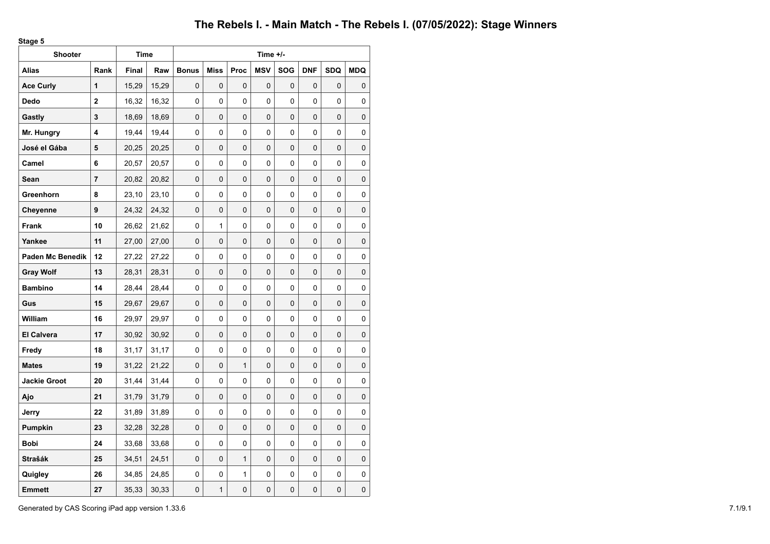**Stage 5**

| <b>Shooter</b>          |             | Time         |       |              |              |              | Time +/-       |            |            |            |             |
|-------------------------|-------------|--------------|-------|--------------|--------------|--------------|----------------|------------|------------|------------|-------------|
| Alias                   | Rank        | <b>Final</b> | Raw   | <b>Bonus</b> | <b>Miss</b>  | Proc         | <b>MSV</b>     | <b>SOG</b> | <b>DNF</b> | <b>SDQ</b> | <b>MDQ</b>  |
| <b>Ace Curly</b>        | 1           | 15,29        | 15,29 | 0            | 0            | 0            | 0              | 0          | 0          | $\Omega$   | 0           |
| Dedo                    | $\mathbf 2$ | 16,32        | 16,32 | 0            | 0            | 0            | 0              | 0          | 0          | 0          | 0           |
| Gastly                  | 3           | 18,69        | 18,69 | 0            | 0            | 0            | 0              | 0          | 0          | 0          | 0           |
| Mr. Hungry              | 4           | 19,44        | 19,44 | 0            | 0            | 0            | 0              | 0          | 0          | 0          | 0           |
| José el Gába            | 5           | 20,25        | 20,25 | 0            | 0            | 0            | 0              | 0          | 0          | 0          | 0           |
| Camel                   | 6           | 20,57        | 20,57 | 0            | 0            | 0            | 0              | 0          | 0          | 0          | 0           |
| Sean                    | 7           | 20,82        | 20,82 | 0            | 0            | 0            | 0              | 0          | 0          | 0          | $\mathsf 0$ |
| Greenhorn               | 8           | 23,10        | 23,10 | 0            | $\Omega$     | 0            | $\Omega$       | 0          | $\Omega$   | 0          | 0           |
| Cheyenne                | 9           | 24,32        | 24,32 | 0            | 0            | 0            | 0              | 0          | 0          | 0          | 0           |
| Frank                   | 10          | 26,62        | 21,62 | 0            | $\mathbf{1}$ | 0            | 0              | 0          | 0          | 0          | 0           |
| Yankee                  | 11          | 27,00        | 27,00 | 0            | 0            | 0            | 0              | 0          | 0          | 0          | 0           |
| <b>Paden Mc Benedik</b> | 12          | 27,22        | 27,22 | 0            | 0            | 0            | 0              | 0          | 0          | 0          | 0           |
| <b>Gray Wolf</b>        | 13          | 28,31        | 28,31 | 0            | 0            | 0            | 0              | 0          | 0          | 0          | 0           |
| <b>Bambino</b>          | 14          | 28,44        | 28,44 | 0            | 0            | 0            | 0              | 0          | 0          | 0          | 0           |
| Gus                     | 15          | 29,67        | 29,67 | 0            | 0            | $\Omega$     | $\overline{0}$ | 0          | 0          | $\Omega$   | 0           |
| William                 | 16          | 29,97        | 29,97 | 0            | 0            | 0            | 0              | 0          | 0          | 0          | 0           |
| <b>El Calvera</b>       | 17          | 30,92        | 30,92 | 0            | 0            | 0            | 0              | 0          | 0          | 0          | 0           |
| Fredy                   | 18          | 31,17        | 31,17 | 0            | 0            | 0            | 0              | 0          | 0          | 0          | 0           |
| <b>Mates</b>            | 19          | 31,22        | 21,22 | 0            | 0            | $\mathbf{1}$ | 0              | 0          | 0          | 0          | 0           |
| <b>Jackie Groot</b>     | 20          | 31,44        | 31,44 | 0            | 0            | 0            | 0              | 0          | 0          | 0          | 0           |
| Ajo                     | 21          | 31,79        | 31,79 | 0            | 0            | 0            | 0              | 0          | 0          | 0          | 0           |
| Jerry                   | 22          | 31,89        | 31,89 | 0            | 0            | 0            | 0              | 0          | 0          | 0          | 0           |
| <b>Pumpkin</b>          | 23          | 32,28        | 32,28 | 0            | 0            | 0            | 0              | 0          | 0          | 0          | 0           |
| <b>Bobi</b>             | 24          | 33,68        | 33,68 | 0            | 0            | 0            | 0              | 0          | 0          | 0          | 0           |
| Strašák                 | 25          | 34,51        | 24,51 | 0            | 0            | $\mathbf{1}$ | 0              | 0          | 0          | 0          | 0           |
| Quigley                 | 26          | 34,85        | 24,85 | 0            | 0            | 1            | 0              | 0          | 0          | 0          | 0           |
| <b>Emmett</b>           | 27          | 35,33        | 30,33 | 0            | 1            | 0            | 0              | 0          | 0          | 0          | $\mathsf 0$ |

Generated by CAS Scoring iPad app version 1.33.6 7.1/9.1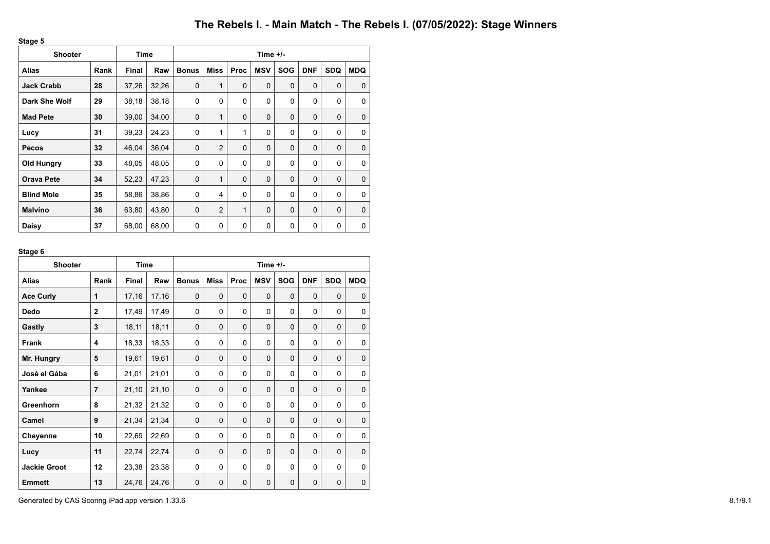**Stage 5**

| <b>Shooter</b>    |      | Time         |       | Time $+/-$   |                |             |             |             |            |             |             |  |
|-------------------|------|--------------|-------|--------------|----------------|-------------|-------------|-------------|------------|-------------|-------------|--|
| Alias             | Rank | <b>Final</b> | Raw   | <b>Bonus</b> | Miss           | Proc        | <b>MSV</b>  | <b>SOG</b>  | <b>DNF</b> | <b>SDQ</b>  | <b>MDQ</b>  |  |
| <b>Jack Crabb</b> | 28   | 37,26        | 32,26 | $\mathbf 0$  | 1              | $\mathbf 0$ | 0           | 0           | $\Omega$   | 0           | $\Omega$    |  |
| Dark She Wolf     | 29   | 38,18        | 38,18 | $\mathbf 0$  | $\Omega$       | 0           | $\Omega$    | 0           | $\Omega$   | 0           | $\Omega$    |  |
| <b>Mad Pete</b>   | 30   | 39,00        | 34,00 | 0            | 1              | $\mathbf 0$ | 0           | $\mathbf 0$ | $\Omega$   | $\mathbf 0$ | $\Omega$    |  |
| Lucy              | 31   | 39,23        | 24,23 | 0            | 1              | 1           | 0           | 0           | $\Omega$   | 0           | $\Omega$    |  |
| <b>Pecos</b>      | 32   | 46,04        | 36,04 | $\mathbf 0$  | $\overline{2}$ | $\mathbf 0$ | 0           | $\mathbf 0$ | $\Omega$   | $\mathbf 0$ | $\mathbf 0$ |  |
| <b>Old Hungry</b> | 33   | 48,05        | 48,05 | 0            | 0              | 0           | 0           | 0           | $\Omega$   | 0           | $\Omega$    |  |
| <b>Orava Pete</b> | 34   | 52,23        | 47,23 | $\mathbf 0$  | 1              | $\mathbf 0$ | 0           | $\mathbf 0$ | $\Omega$   | $\mathbf 0$ | $\Omega$    |  |
| <b>Blind Mole</b> | 35   | 58,86        | 38,86 | 0            | 4              | 0           | $\Omega$    | 0           | $\Omega$   | 0           | $\Omega$    |  |
| <b>Malvíno</b>    | 36   | 63,80        | 43,80 | $\mathbf 0$  | $\overline{2}$ | 1           | 0           | $\mathbf 0$ | $\Omega$   | 0           | $\mathbf 0$ |  |
| Daisy             | 37   | 68,00        | 68,00 | 0            | $\mathbf 0$    | 0           | $\mathbf 0$ | 0           | $\Omega$   | 0           | $\mathbf 0$ |  |

## **Stage 6**

| <b>Shooter</b>      |                | <b>Time</b>  |       | Time $+/-$   |             |             |            |             |            |             |            |  |
|---------------------|----------------|--------------|-------|--------------|-------------|-------------|------------|-------------|------------|-------------|------------|--|
| <b>Alias</b>        | Rank           | <b>Final</b> | Raw   | <b>Bonus</b> | <b>Miss</b> | Proc        | <b>MSV</b> | <b>SOG</b>  | <b>DNF</b> | <b>SDQ</b>  | <b>MDQ</b> |  |
| <b>Ace Curly</b>    | 1              | 17,16        | 17,16 | $\Omega$     | $\Omega$    | $\Omega$    | $\Omega$   | $\Omega$    | $\Omega$   | $\Omega$    | $\Omega$   |  |
| Dedo                | $\overline{2}$ | 17,49        | 17,49 | 0            | $\Omega$    | 0           | $\Omega$   | 0           | $\Omega$   | $\Omega$    | 0          |  |
| Gastly              | 3              | 18,11        | 18,11 | $\Omega$     | $\Omega$    | $\mathbf 0$ | $\Omega$   | $\Omega$    | $\Omega$   | $\Omega$    | 0          |  |
| <b>Frank</b>        | 4              | 18,33        | 18,33 | $\Omega$     | $\Omega$    | $\Omega$    | $\Omega$   | $\Omega$    | $\Omega$   | $\Omega$    | $\Omega$   |  |
| Mr. Hungry          | 5              | 19,61        | 19,61 | $\Omega$     | $\Omega$    | $\Omega$    | $\Omega$   | $\Omega$    | $\Omega$   | $\Omega$    | 0          |  |
| José el Gába        | 6              | 21,01        | 21,01 | 0            | $\Omega$    | 0           | $\Omega$   | 0           | $\Omega$   | $\Omega$    | 0          |  |
| Yankee              | $\overline{7}$ | 21,10        | 21,10 | $\Omega$     | $\Omega$    | 0           | $\Omega$   | $\mathbf 0$ | $\Omega$   | $\Omega$    | 0          |  |
| Greenhorn           | 8              | 21,32        | 21,32 | 0            | $\Omega$    | $\Omega$    | $\Omega$   | $\Omega$    | $\Omega$   | $\Omega$    | 0          |  |
| Camel               | 9              | 21,34        | 21,34 | $\Omega$     | $\Omega$    | $\Omega$    | $\Omega$   | $\Omega$    | $\Omega$   | $\Omega$    | 0          |  |
| Cheyenne            | 10             | 22,69        | 22,69 | 0            | $\Omega$    | 0           | 0          | 0           | 0          | 0           | 0          |  |
| Lucy                | 11             | 22,74        | 22,74 | $\Omega$     | $\Omega$    | $\Omega$    | $\Omega$   | $\Omega$    | $\Omega$   | $\Omega$    | 0          |  |
| <b>Jackie Groot</b> | 12             | 23,38        | 23,38 | $\Omega$     | $\Omega$    | 0           | 0          | 0           | $\Omega$   | 0           | 0          |  |
| <b>Emmett</b>       | 13             | 24,76        | 24,76 | $\mathbf 0$  | $\Omega$    | $\mathbf 0$ | 0          | $\mathbf 0$ | $\Omega$   | $\mathbf 0$ | 0          |  |

Generated by CAS Scoring iPad app version 1.33.6 8.1/9.1